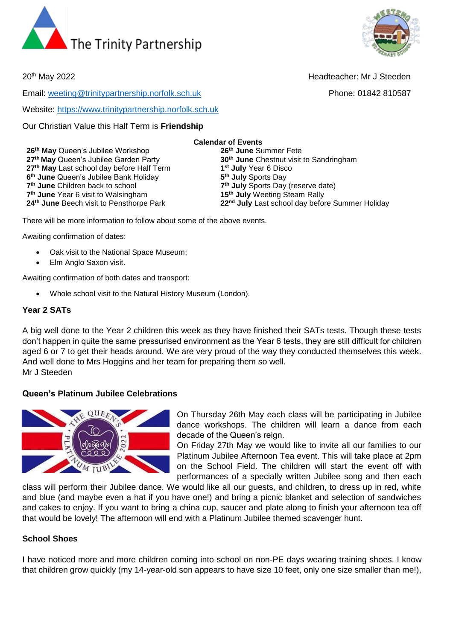



20<sup>th</sup> May 2022 **Headteacher: Mr J Steeden** 

Email: [weeting@trinitypartnership.norfolk.sch.uk](mailto:weeting@trinitypartnership.norfolk.sch.uk) Phone: 01842 810587

Website: [https://www.trinitypartnership.norfolk.sch.uk](https://www.trinitypartnership.norfolk.sch.uk/)

Our Christian Value this Half Term is **Friendship**

**th May** Queen's Jubilee Workshop **26th June** Summer Fete **th May** Queen's Jubilee Garden Party **30th June** Chestnut visit to Sandringham **th May** Last school day before Half Term **1 th June** Queen's Jubilee Bank Holiday **5 th June** Children back to school **7 th June** Year 6 visit to Walsingham **15th July** Weeting Steam Rally **th June** Beech visit to Pensthorpe Park **22nd July** Last school day before Summer Holiday

**st July** Year 6 Disco **th July** Sports Day **th July** Sports Day (reserve date)

There will be more information to follow about some of the above events.

Awaiting confirmation of dates:

- Oak visit to the National Space Museum;
- Elm Anglo Saxon visit.

Awaiting confirmation of both dates and transport:

• Whole school visit to the Natural History Museum (London).

#### **Year 2 SATs**

A big well done to the Year 2 children this week as they have finished their SATs tests. Though these tests don't happen in quite the same pressurised environment as the Year 6 tests, they are still difficult for children aged 6 or 7 to get their heads around. We are very proud of the way they conducted themselves this week. And well done to Mrs Hoggins and her team for preparing them so well. Mr J Steeden

### **Queen's Platinum Jubilee Celebrations**



On Thursday 26th May each class will be participating in Jubilee dance workshops. The children will learn a dance from each decade of the Queen's reign.

On Friday 27th May we would like to invite all our families to our Platinum Jubilee Afternoon Tea event. This will take place at 2pm on the School Field. The children will start the event off with performances of a specially written Jubilee song and then each

class will perform their Jubilee dance. We would like all our guests, and children, to dress up in red, white and blue (and maybe even a hat if you have one!) and bring a picnic blanket and selection of sandwiches and cakes to enjoy. If you want to bring a china cup, saucer and plate along to finish your afternoon tea off that would be lovely! The afternoon will end with a Platinum Jubilee themed scavenger hunt.

### **School Shoes**

I have noticed more and more children coming into school on non-PE days wearing training shoes. I know that children grow quickly (my 14-year-old son appears to have size 10 feet, only one size smaller than me!),

# **Calendar of Events**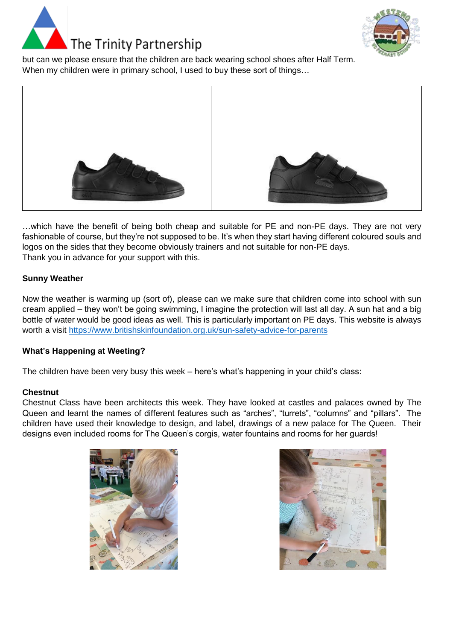



but can we please ensure that the children are back wearing school shoes after Half Term. When my children were in primary school, I used to buy these sort of things…



…which have the benefit of being both cheap and suitable for PE and non-PE days. They are not very fashionable of course, but they're not supposed to be. It's when they start having different coloured souls and logos on the sides that they become obviously trainers and not suitable for non-PE days. Thank you in advance for your support with this.

# **Sunny Weather**

Now the weather is warming up (sort of), please can we make sure that children come into school with sun cream applied – they won't be going swimming, I imagine the protection will last all day. A sun hat and a big bottle of water would be good ideas as well. This is particularly important on PE days. This website is always worth a visit<https://www.britishskinfoundation.org.uk/sun-safety-advice-for-parents>

### **What's Happening at Weeting?**

The children have been very busy this week – here's what's happening in your child's class:

### **Chestnut**

Chestnut Class have been architects this week. They have looked at castles and palaces owned by The Queen and learnt the names of different features such as "arches", "turrets", "columns" and "pillars". The children have used their knowledge to design, and label, drawings of a new palace for The Queen. Their designs even included rooms for The Queen's corgis, water fountains and rooms for her guards!



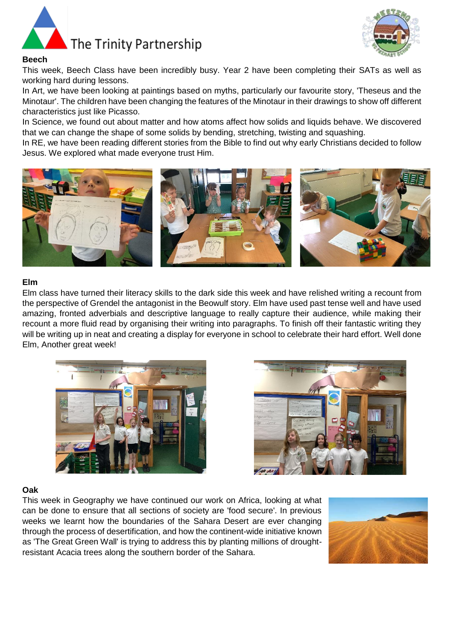



### **Beech**

This week, Beech Class have been incredibly busy. Year 2 have been completing their SATs as well as working hard during lessons.

In Art, we have been looking at paintings based on myths, particularly our favourite story, 'Theseus and the Minotaur'. The children have been changing the features of the Minotaur in their drawings to show off different characteristics just like Picasso.

In Science, we found out about matter and how atoms affect how solids and liquids behave. We discovered that we can change the shape of some solids by bending, stretching, twisting and squashing.

In RE, we have been reading different stories from the Bible to find out why early Christians decided to follow Jesus. We explored what made everyone trust Him.



#### **Elm**

Elm class have turned their literacy skills to the dark side this week and have relished writing a recount from the perspective of Grendel the antagonist in the Beowulf story. Elm have used past tense well and have used amazing, fronted adverbials and descriptive language to really capture their audience, while making their recount a more fluid read by organising their writing into paragraphs. To finish off their fantastic writing they will be writing up in neat and creating a display for everyone in school to celebrate their hard effort. Well done Elm, Another great week!





#### **Oak**

This week in Geography we have continued our work on Africa, looking at what can be done to ensure that all sections of society are 'food secure'. In previous weeks we learnt how the boundaries of the Sahara Desert are ever changing through the process of desertification, and how the continent-wide initiative known as 'The Great Green Wall' is trying to address this by planting millions of droughtresistant Acacia trees along the southern border of the Sahara.

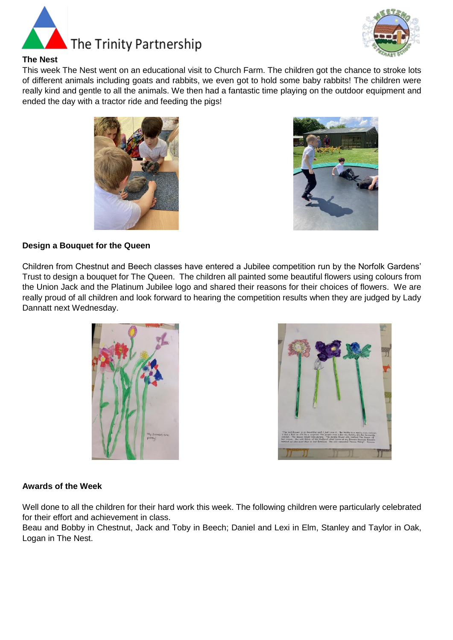



# **The Nest**

This week The Nest went on an educational visit to Church Farm. The children got the chance to stroke lots of different animals including goats and rabbits, we even got to hold some baby rabbits! The children were really kind and gentle to all the animals. We then had a fantastic time playing on the outdoor equipment and ended the day with a tractor ride and feeding the pigs!





# **Design a Bouquet for the Queen**

Children from Chestnut and Beech classes have entered a Jubilee competition run by the Norfolk Gardens' Trust to design a bouquet for The Queen. The children all painted some beautiful flowers using colours from the Union Jack and the Platinum Jubilee logo and shared their reasons for their choices of flowers. We are really proud of all children and look forward to hearing the competition results when they are judged by Lady Dannatt next Wednesday.





# **Awards of the Week**

Well done to all the children for their hard work this week. The following children were particularly celebrated for their effort and achievement in class.

Beau and Bobby in Chestnut, Jack and Toby in Beech; Daniel and Lexi in Elm, Stanley and Taylor in Oak, Logan in The Nest.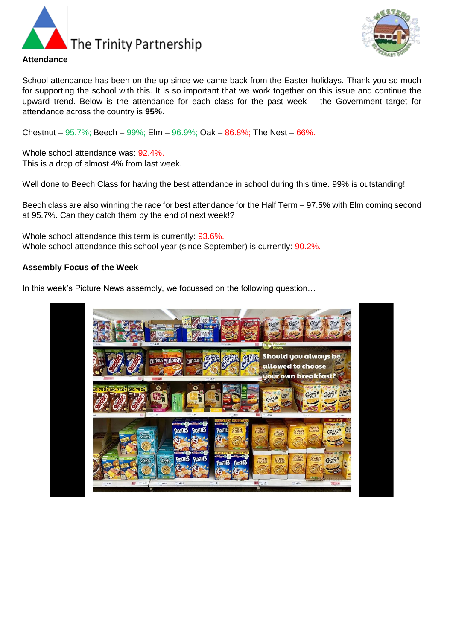



School attendance has been on the up since we came back from the Easter holidays. Thank you so much for supporting the school with this. It is so important that we work together on this issue and continue the upward trend. Below is the attendance for each class for the past week – the Government target for attendance across the country is **95%**.

Chestnut –  $95.7\%$ ; Beech –  $99\%$ ; Elm –  $96.9\%$ ; Oak –  $86.8\%$ ; The Nest –  $66\%$ .

Whole school attendance was: 92.4%. This is a drop of almost 4% from last week.

Well done to Beech Class for having the best attendance in school during this time. 99% is outstanding!

Beech class are also winning the race for best attendance for the Half Term – 97.5% with Elm coming second at 95.7%. Can they catch them by the end of next week!?

Whole school attendance this term is currently: 93.6%. Whole school attendance this school year (since September) is currently:  $90.2\%$ .

#### **Assembly Focus of the Week**

In this week's Picture News assembly, we focussed on the following question…